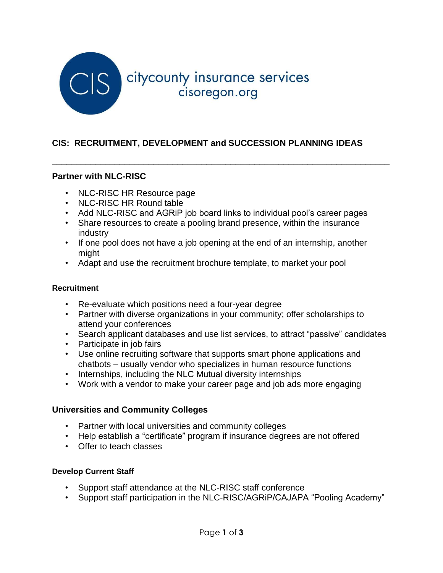

### **CIS: RECRUITMENT, DEVELOPMENT and SUCCESSION PLANNING IDEAS**

### **Partner with NLC-RISC**

- NLC-RISC HR Resource page
- NLC-RISC HR Round table
- Add NLC-RISC and AGRiP job board links to individual pool's career pages

\_\_\_\_\_\_\_\_\_\_\_\_\_\_\_\_\_\_\_\_\_\_\_\_\_\_\_\_\_\_\_\_\_\_\_\_\_\_\_\_\_\_\_\_\_\_\_\_\_\_\_\_\_\_\_\_\_\_\_\_\_\_\_\_\_\_\_\_\_\_

- Share resources to create a pooling brand presence, within the insurance industry
- If one pool does not have a job opening at the end of an internship, another might
- Adapt and use the recruitment brochure template, to market your pool

#### **Recruitment**

- Re-evaluate which positions need a four-year degree
- Partner with diverse organizations in your community; offer scholarships to attend your conferences
- Search applicant databases and use list services, to attract "passive" candidates
- Participate in job fairs
- Use online recruiting software that supports smart phone applications and chatbots – usually vendor who specializes in human resource functions
- Internships, including the NLC Mutual diversity internships
- Work with a vendor to make your career page and job ads more engaging

#### **Universities and Community Colleges**

- Partner with local universities and community colleges
- Help establish a "certificate" program if insurance degrees are not offered
- Offer to teach classes

#### **Develop Current Staff**

- Support staff attendance at the NLC-RISC staff conference
- Support staff participation in the NLC-RISC/AGRiP/CAJAPA "Pooling Academy"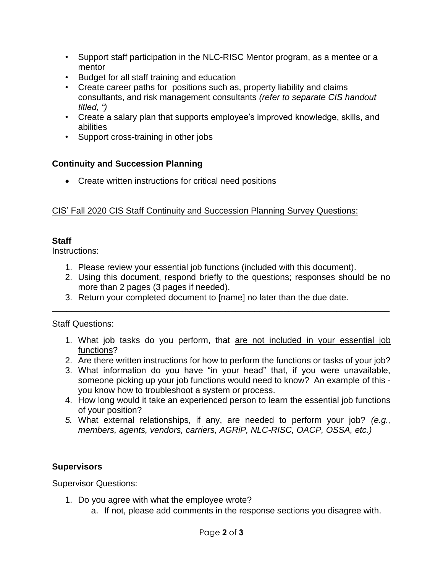- Support staff participation in the NLC-RISC Mentor program, as a mentee or a mentor
- Budget for all staff training and education
- Create career paths for positions such as, property liability and claims consultants, and risk management consultants *(refer to separate CIS handout titled, ")*
- Create a salary plan that supports employee's improved knowledge, skills, and abilities
- Support cross-training in other jobs

# **Continuity and Succession Planning**

• Create written instructions for critical need positions

### CIS' Fall 2020 CIS Staff Continuity and Succession Planning Survey Questions:

# **Staff**

Instructions:

- 1. Please review your essential job functions (included with this document).
- 2. Using this document, respond briefly to the questions; responses should be no more than 2 pages (3 pages if needed).

\_\_\_\_\_\_\_\_\_\_\_\_\_\_\_\_\_\_\_\_\_\_\_\_\_\_\_\_\_\_\_\_\_\_\_\_\_\_\_\_\_\_\_\_\_\_\_\_\_\_\_\_\_\_\_\_\_\_\_\_\_\_\_\_\_\_\_\_\_\_

3. Return your completed document to [name] no later than the due date.

### Staff Questions:

- 1. What job tasks do you perform, that are not included in your essential job functions?
- 2. Are there written instructions for how to perform the functions or tasks of your job?
- 3. What information do you have "in your head" that, if you were unavailable, someone picking up your job functions would need to know? An example of this you know how to troubleshoot a system or process.
- 4. How long would it take an experienced person to learn the essential job functions of your position?
- *5.* What external relationships, if any, are needed to perform your job? *(e.g., members, agents, vendors, carriers, AGRiP, NLC-RISC, OACP, OSSA, etc.)*

# **Supervisors**

Supervisor Questions:

- 1. Do you agree with what the employee wrote?
	- a. If not, please add comments in the response sections you disagree with.